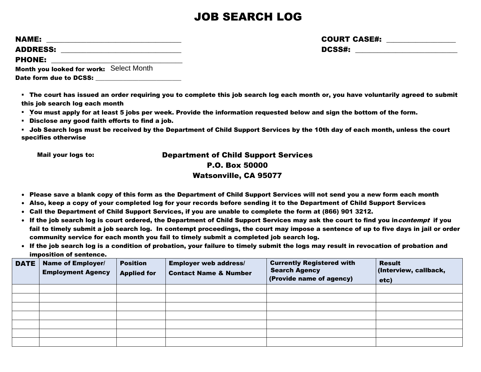## JOB SEARCH LOG

COURT CASE#:  $\blacksquare$ ADDRESS: \_\_\_\_\_\_\_\_\_\_\_\_\_\_\_\_\_\_\_\_\_\_\_\_\_\_\_\_\_\_\_\_\_ DCSS#: \_\_\_\_\_\_\_\_\_\_\_\_\_\_\_\_\_\_\_\_\_\_\_\_\_\_\_\_

| NAME:                                   |  |
|-----------------------------------------|--|
| <b>ADDRESS:</b>                         |  |
| <b>PHONE:</b>                           |  |
| Month you looked for work: Select Month |  |

Date form due to DCSS: **with the set of the set of the set of the set of the set of the set of the set of the set of the set of the set of the set of the set of the set of the set of the set of the set of the set of the se** 

 The court has issued an order requiring you to complete this job search log each month or, you have voluntarily agreed to submit this job search log each month

- You must apply for at least 5 jobs per week. Provide the information requested below and sign the bottom of the form.
- Disclose any good faith efforts to find a job.

 Job Search logs must be received by the Department of Child Support Services by the 10th day of each month, unless the court specifies otherwise

## Mail your logs to: Department of Child Support Services P.O. Box 50000 Watsonville, CA 95077

- Please save a blank copy of this form as the Department of Child Support Services will not send you a new form each month
- Also, keep a copy of your completed log for your records before sending it to the Department of Child Support Services
- Call the Department of Child Support Services, if you are unable to complete the form at (866) 901 3212.
- If the job search log is court ordered, the Department of Child Support Services may ask the court to find you in*contempt* if you fail to timely submit a job search log. In contempt proceedings, the court may impose a sentence of up to five days in jail or order community service for each month you fail to timely submit a completed job search log.
- If the job search log is a condition of probation, your failure to timely submit the logs may result in revocation of probation and imposition of sentence.

| <b>DATE</b> | <b>Name of Employer/</b><br><b>Employment Agency</b> | <b>Position</b><br><b>Applied for</b> | <b>Employer web address/</b><br><b>Contact Name &amp; Number</b> | <b>Currently Registered with</b><br><b>Search Agency</b><br>(Provide name of agency) | <b>Result</b><br>(Interview, callback,<br>etc) |
|-------------|------------------------------------------------------|---------------------------------------|------------------------------------------------------------------|--------------------------------------------------------------------------------------|------------------------------------------------|
|             |                                                      |                                       |                                                                  |                                                                                      |                                                |
|             |                                                      |                                       |                                                                  |                                                                                      |                                                |
|             |                                                      |                                       |                                                                  |                                                                                      |                                                |
|             |                                                      |                                       |                                                                  |                                                                                      |                                                |
|             |                                                      |                                       |                                                                  |                                                                                      |                                                |
|             |                                                      |                                       |                                                                  |                                                                                      |                                                |
|             |                                                      |                                       |                                                                  |                                                                                      |                                                |